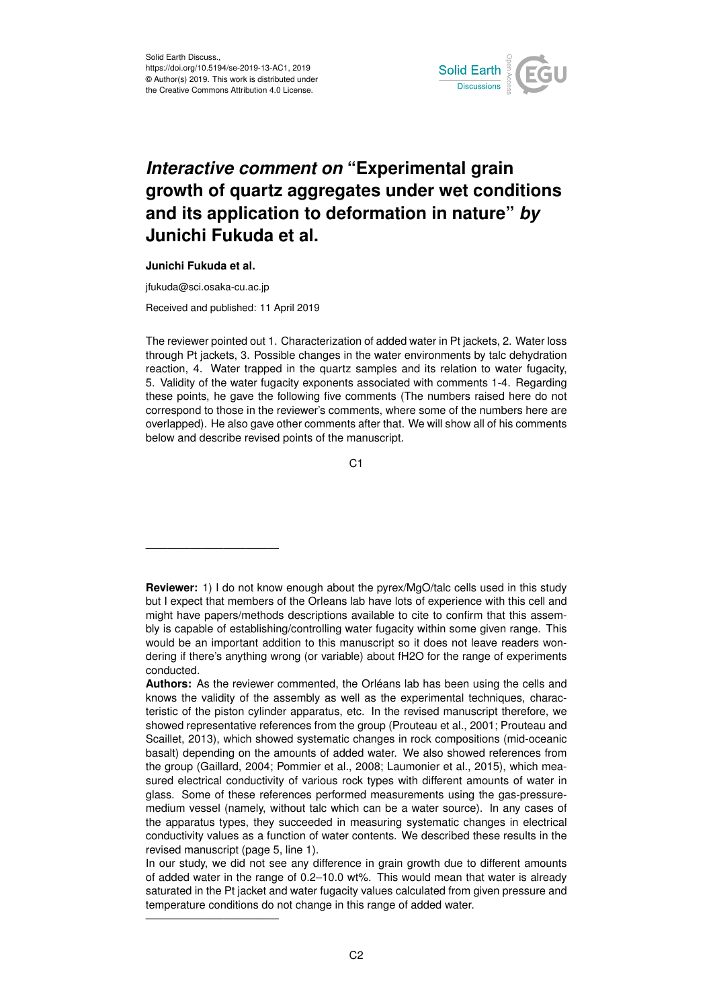

## *Interactive comment on* **"Experimental grain growth of quartz aggregates under wet conditions and its application to deformation in nature"** *by* **Junichi Fukuda et al.**

## **Junichi Fukuda et al.**

jfukuda@sci.osaka-cu.ac.jp

————————————

————————————

Received and published: 11 April 2019

The reviewer pointed out 1. Characterization of added water in Pt jackets, 2. Water loss through Pt jackets, 3. Possible changes in the water environments by talc dehydration reaction, 4. Water trapped in the quartz samples and its relation to water fugacity, 5. Validity of the water fugacity exponents associated with comments 1-4. Regarding these points, he gave the following five comments (The numbers raised here do not correspond to those in the reviewer's comments, where some of the numbers here are overlapped). He also gave other comments after that. We will show all of his comments below and describe revised points of the manuscript.

C<sub>1</sub>

**Reviewer:** 1) I do not know enough about the pyrex/MgO/talc cells used in this study but I expect that members of the Orleans lab have lots of experience with this cell and might have papers/methods descriptions available to cite to confirm that this assembly is capable of establishing/controlling water fugacity within some given range. This would be an important addition to this manuscript so it does not leave readers wondering if there's anything wrong (or variable) about fH2O for the range of experiments conducted.

**Authors:** As the reviewer commented, the Orléans lab has been using the cells and knows the validity of the assembly as well as the experimental techniques, characteristic of the piston cylinder apparatus, etc. In the revised manuscript therefore, we showed representative references from the group (Prouteau et al., 2001; Prouteau and Scaillet, 2013), which showed systematic changes in rock compositions (mid-oceanic basalt) depending on the amounts of added water. We also showed references from the group (Gaillard, 2004; Pommier et al., 2008; Laumonier et al., 2015), which measured electrical conductivity of various rock types with different amounts of water in glass. Some of these references performed measurements using the gas-pressuremedium vessel (namely, without talc which can be a water source). In any cases of the apparatus types, they succeeded in measuring systematic changes in electrical conductivity values as a function of water contents. We described these results in the revised manuscript (page 5, line 1).

In our study, we did not see any difference in grain growth due to different amounts of added water in the range of 0.2–10.0 wt%. This would mean that water is already saturated in the Pt jacket and water fugacity values calculated from given pressure and temperature conditions do not change in this range of added water.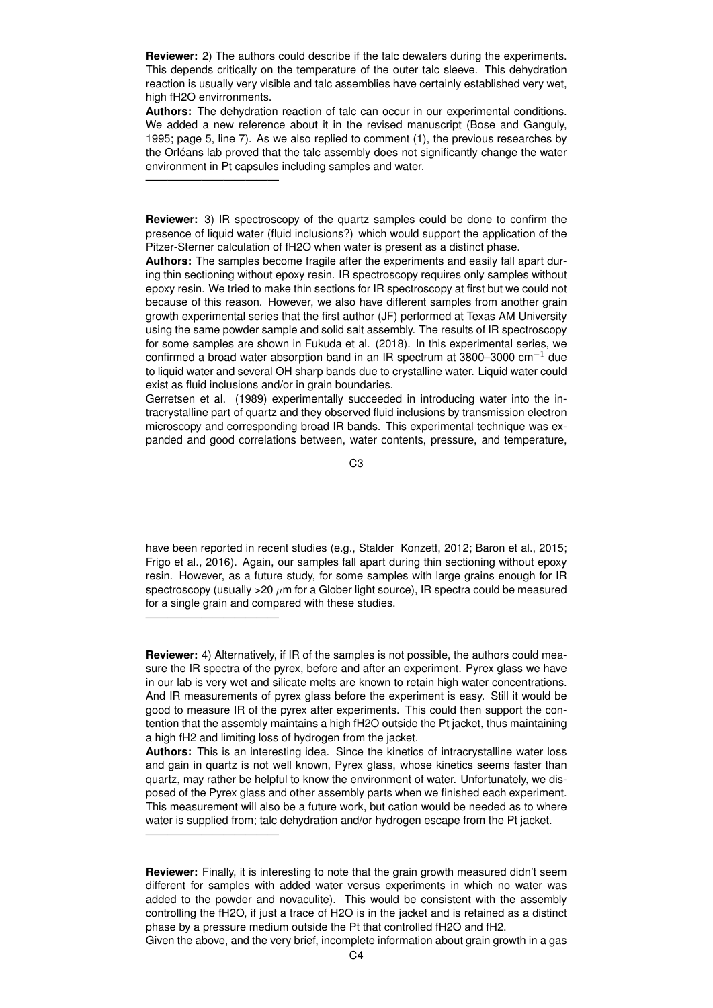**Reviewer:** 2) The authors could describe if the talc dewaters during the experiments. This depends critically on the temperature of the outer talc sleeve. This dehydration reaction is usually very visible and talc assemblies have certainly established very wet, high fH2O envirronments.

**Authors:** The dehydration reaction of talc can occur in our experimental conditions. We added a new reference about it in the revised manuscript (Bose and Ganguly, 1995; page 5, line 7). As we also replied to comment (1), the previous researches by the Orléans lab proved that the talc assembly does not significantly change the water environment in Pt capsules including samples and water.

————————————

————————————

————————————

**Reviewer:** 3) IR spectroscopy of the quartz samples could be done to confirm the presence of liquid water (fluid inclusions?) which would support the application of the Pitzer-Sterner calculation of fH2O when water is present as a distinct phase.

**Authors:** The samples become fragile after the experiments and easily fall apart during thin sectioning without epoxy resin. IR spectroscopy requires only samples without epoxy resin. We tried to make thin sections for IR spectroscopy at first but we could not because of this reason. However, we also have different samples from another grain growth experimental series that the first author (JF) performed at Texas AM University using the same powder sample and solid salt assembly. The results of IR spectroscopy for some samples are shown in Fukuda et al. (2018). In this experimental series, we confirmed a broad water absorption band in an IR spectrum at 3800–3000 cm−<sup>1</sup> due to liquid water and several OH sharp bands due to crystalline water. Liquid water could exist as fluid inclusions and/or in grain boundaries.

Gerretsen et al. (1989) experimentally succeeded in introducing water into the intracrystalline part of quartz and they observed fluid inclusions by transmission electron microscopy and corresponding broad IR bands. This experimental technique was expanded and good correlations between, water contents, pressure, and temperature,

C3

have been reported in recent studies (e.g., Stalder Konzett, 2012; Baron et al., 2015; Frigo et al., 2016). Again, our samples fall apart during thin sectioning without epoxy resin. However, as a future study, for some samples with large grains enough for IR spectroscopy (usually  $>20 \mu m$  for a Glober light source), IR spectra could be measured for a single grain and compared with these studies.

**Reviewer:** 4) Alternatively, if IR of the samples is not possible, the authors could measure the IR spectra of the pyrex, before and after an experiment. Pyrex glass we have in our lab is very wet and silicate melts are known to retain high water concentrations. And IR measurements of pyrex glass before the experiment is easy. Still it would be good to measure IR of the pyrex after experiments. This could then support the contention that the assembly maintains a high fH2O outside the Pt jacket, thus maintaining a high fH2 and limiting loss of hydrogen from the jacket.

**Authors:** This is an interesting idea. Since the kinetics of intracrystalline water loss and gain in quartz is not well known, Pyrex glass, whose kinetics seems faster than quartz, may rather be helpful to know the environment of water. Unfortunately, we disposed of the Pyrex glass and other assembly parts when we finished each experiment. This measurement will also be a future work, but cation would be needed as to where water is supplied from; talc dehydration and/or hydrogen escape from the Pt jacket.

Given the above, and the very brief, incomplete information about grain growth in a gas

**Reviewer:** Finally, it is interesting to note that the grain growth measured didn't seem different for samples with added water versus experiments in which no water was added to the powder and novaculite). This would be consistent with the assembly controlling the fH2O, if just a trace of H2O is in the jacket and is retained as a distinct phase by a pressure medium outside the Pt that controlled fH2O and fH2.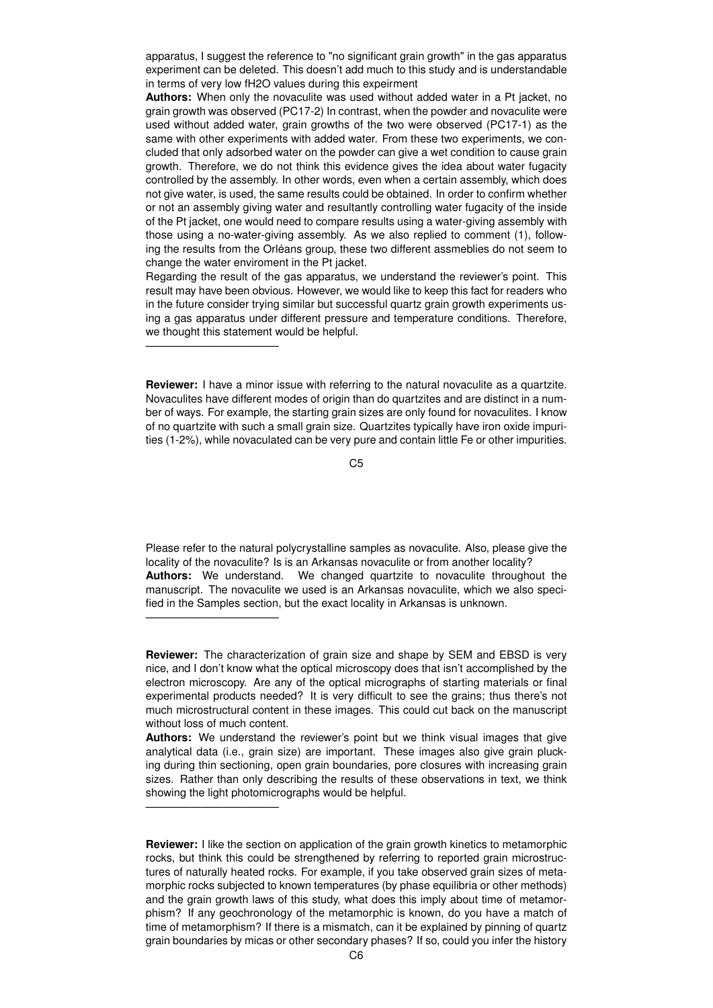apparatus, I suggest the reference to "no significant grain growth" in the gas apparatus experiment can be deleted. This doesn't add much to this study and is understandable in terms of very low fH2O values during this expeirment

**Authors:** When only the novaculite was used without added water in a Pt jacket, no grain growth was observed (PC17-2) In contrast, when the powder and novaculite were used without added water, grain growths of the two were observed (PC17-1) as the same with other experiments with added water. From these two experiments, we concluded that only adsorbed water on the powder can give a wet condition to cause grain growth. Therefore, we do not think this evidence gives the idea about water fugacity controlled by the assembly. In other words, even when a certain assembly, which does not give water, is used, the same results could be obtained. In order to confirm whether or not an assembly giving water and resultantly controlling water fugacity of the inside of the Pt jacket, one would need to compare results using a water-giving assembly with those using a no-water-giving assembly. As we also replied to comment (1), following the results from the Orléans group, these two different assmeblies do not seem to change the water enviroment in the Pt jacket.

Regarding the result of the gas apparatus, we understand the reviewer's point. This result may have been obvious. However, we would like to keep this fact for readers who in the future consider trying similar but successful quartz grain growth experiments using a gas apparatus under different pressure and temperature conditions. Therefore, we thought this statement would be helpful.

————————————

————————————

————————————

**Reviewer:** I have a minor issue with referring to the natural novaculite as a quartzite. Novaculites have different modes of origin than do quartzites and are distinct in a number of ways. For example, the starting grain sizes are only found for novaculites. I know of no quartzite with such a small grain size. Quartzites typically have iron oxide impurities (1-2%), while novaculated can be very pure and contain little Fe or other impurities.

C5

Please refer to the natural polycrystalline samples as novaculite. Also, please give the locality of the novaculite? Is is an Arkansas novaculite or from another locality? **Authors:** We understand. We changed quartzite to novaculite throughout the manuscript. The novaculite we used is an Arkansas novaculite, which we also specified in the Samples section, but the exact locality in Arkansas is unknown.

**Reviewer:** The characterization of grain size and shape by SEM and EBSD is very nice, and I don't know what the optical microscopy does that isn't accomplished by the electron microscopy. Are any of the optical micrographs of starting materials or final experimental products needed? It is very difficult to see the grains; thus there's not much microstructural content in these images. This could cut back on the manuscript without loss of much content.

**Authors:** We understand the reviewer's point but we think visual images that give analytical data (i.e., grain size) are important. These images also give grain plucking during thin sectioning, open grain boundaries, pore closures with increasing grain sizes. Rather than only describing the results of these observations in text, we think showing the light photomicrographs would be helpful.

**Reviewer:** I like the section on application of the grain growth kinetics to metamorphic rocks, but think this could be strengthened by referring to reported grain microstructures of naturally heated rocks. For example, if you take observed grain sizes of metamorphic rocks subjected to known temperatures (by phase equilibria or other methods) and the grain growth laws of this study, what does this imply about time of metamorphism? If any geochronology of the metamorphic is known, do you have a match of time of metamorphism? If there is a mismatch, can it be explained by pinning of quartz grain boundaries by micas or other secondary phases? If so, could you infer the history